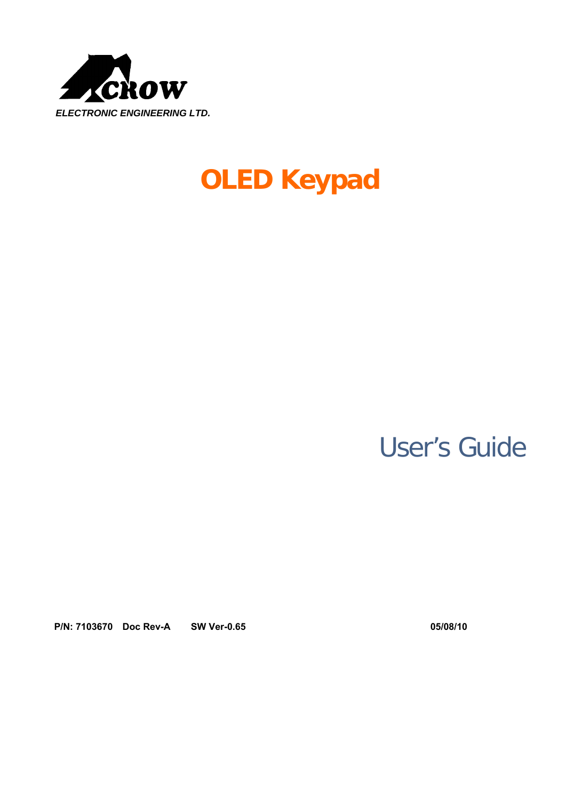

# **OLED Keypad**

# User's Guide

**P/N: 7103670 Doc Rev-A SW Ver-0.65 05/08/10**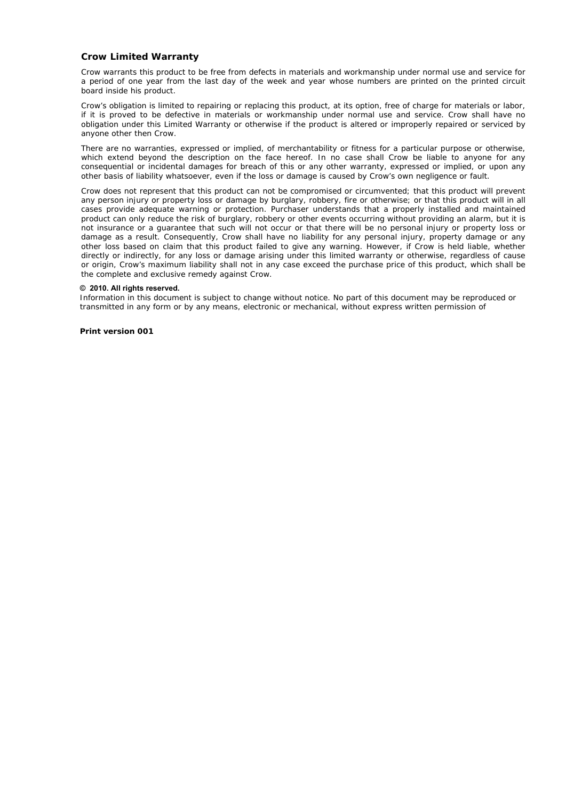#### **Crow Limited Warranty**

Crow warrants this product to be free from defects in materials and workmanship under normal use and service for a period of one year from the last day of the week and year whose numbers are printed on the printed circuit board inside his product.

Crow's obligation is limited to repairing or replacing this product, at its option, free of charge for materials or labor, if it is proved to be defective in materials or workmanship under normal use and service. Crow shall have no obligation under this Limited Warranty or otherwise if the product is altered or improperly repaired or serviced by anyone other then Crow.

There are no warranties, expressed or implied, of merchantability or fitness for a particular purpose or otherwise, which extend beyond the description on the face hereof. In no case shall Crow be liable to anyone for any consequential or incidental damages for breach of this or any other warranty, expressed or implied, or upon any other basis of liability whatsoever, even if the loss or damage is caused by Crow's own negligence or fault.

Crow does not represent that this product can not be compromised or circumvented; that this product will prevent any person injury or property loss or damage by burglary, robbery, fire or otherwise; or that this product will in all cases provide adequate warning or protection. Purchaser understands that a properly installed and maintained product can only reduce the risk of burglary, robbery or other events occurring without providing an alarm, but it is not insurance or a guarantee that such will not occur or that there will be no personal injury or property loss or damage as a result. Consequently, Crow shall have no liability for any personal injury, property damage or any other loss based on claim that this product failed to give any warning. However, if Crow is held liable, whether directly or indirectly, for any loss or damage arising under this limited warranty or otherwise, regardless of cause or origin, Crow's maximum liability shall not in any case exceed the purchase price of this product, which shall be the complete and exclusive remedy against Crow.

#### **© 2010. All rights reserved.**

Information in this document is subject to change without notice. No part of this document may be reproduced or transmitted in any form or by any means, electronic or mechanical, without express written permission of

**Print version 001**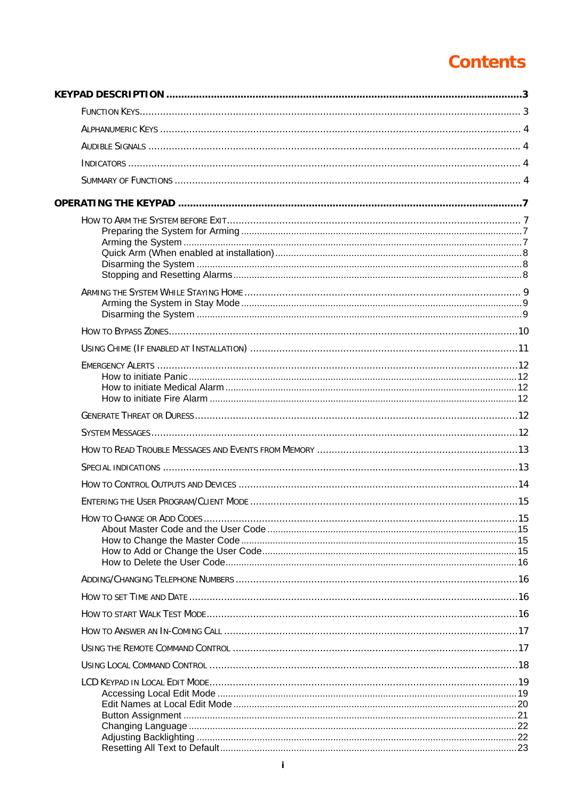## **Contents**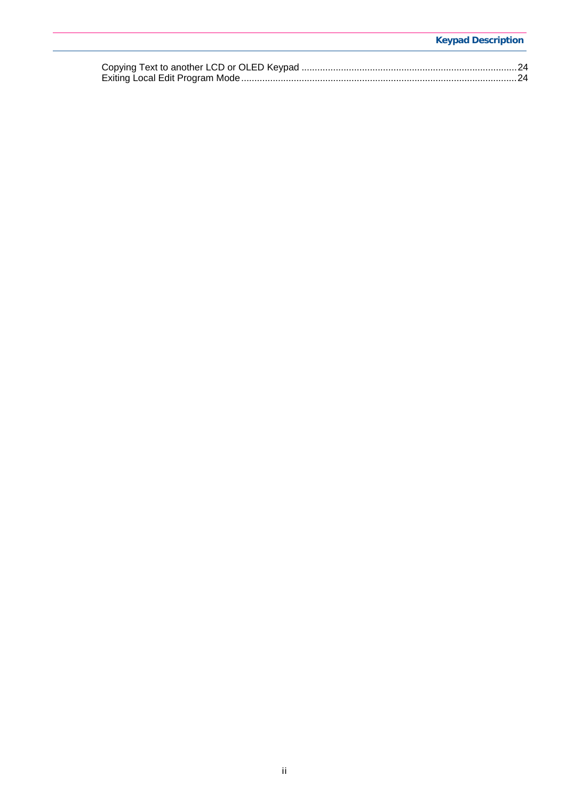#### **Keypad Description**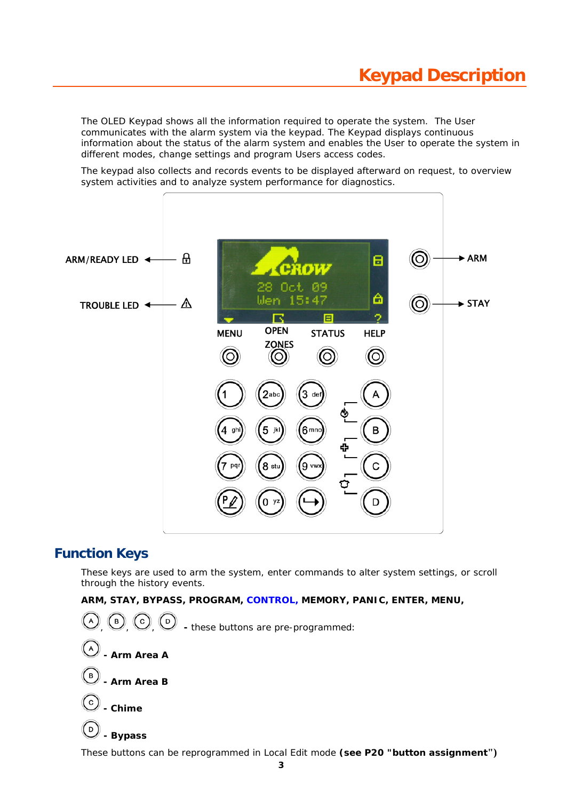The OLED Keypad shows all the information required to operate the system. The User communicates with the alarm system via the keypad. The Keypad displays continuous information about the status of the alarm system and enables the User to operate the system in different modes, change settings and program Users access codes.

The keypad also collects and records events to be displayed afterward on request, to overview system activities and to analyze system performance for diagnostics.



### **Function Keys**

These keys are used to arm the system, enter commands to alter system settings, or scroll through the history events.

**ARM, STAY, BYPASS, PROGRAM, CONTROL, MEMORY, PANIC, ENTER, MENU,** 



These buttons can be reprogrammed in Local Edit mode **(see P20 "button assignment")**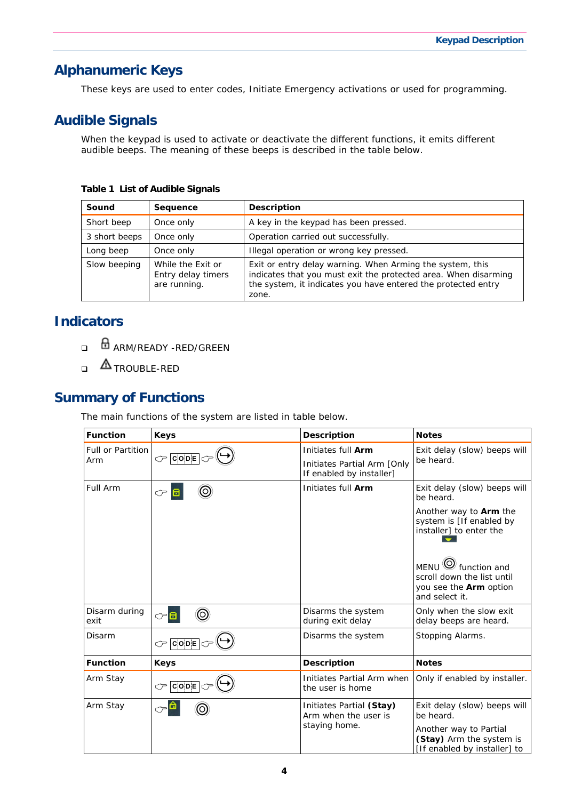## **Alphanumeric Keys**

These keys are used to enter codes, Initiate Emergency activations or used for programming.

## **Audible Signals**

When the keypad is used to activate or deactivate the different functions, it emits different audible beeps. The meaning of these beeps is described in the table below.

**Table 1 List of Audible Signals** 

| Sound         | Sequence                                                | <b>Description</b>                                                                                                                                                                                     |
|---------------|---------------------------------------------------------|--------------------------------------------------------------------------------------------------------------------------------------------------------------------------------------------------------|
| Short beep    | Once only                                               | A key in the keypad has been pressed.                                                                                                                                                                  |
| 3 short beeps | Once only                                               | Operation carried out successfully.                                                                                                                                                                    |
| Long beep     | Once only                                               | Illegal operation or wrong key pressed.                                                                                                                                                                |
| Slow beeping  | While the Exit or<br>Entry delay timers<br>are running. | Exit or entry delay warning. When Arming the system, this<br>indicates that you must exit the protected area. When disarming<br>the system, it indicates you have entered the protected entry<br>zone. |

## **Indicators**

- **ARM/READY -RED/GREEN**
- $\Delta$ TROUBLE-RED

## **Summary of Functions**

The main functions of the system are listed in table below.

| <b>Function</b>                             | <b>Keys</b>         | <b>Description</b>                                                            | <b>Notes</b>                                                                                           |
|---------------------------------------------|---------------------|-------------------------------------------------------------------------------|--------------------------------------------------------------------------------------------------------|
| <b>Full or Partition</b><br>$C$ CODE<br>Arm |                     | Initiates full Arm<br>Initiates Partial Arm [Only<br>If enabled by installer] | Exit delay (slow) beeps will<br>be heard.                                                              |
| Full Arm                                    | (O<br>$\mathcal{P}$ | Initiates full Arm                                                            | Exit delay (slow) beeps will<br>be heard.                                                              |
|                                             |                     |                                                                               | Another way to <b>Arm</b> the<br>system is [If enabled by<br>installer] to enter the                   |
|                                             |                     |                                                                               | MENU $\bigcirc$ function and<br>scroll down the list until<br>you see the Arm option<br>and select it. |
| Disarm during<br>exit                       | ි                   | Disarms the system<br>during exit delay                                       | Only when the slow exit<br>delay beeps are heard.                                                      |
| Disarm                                      | $C$ $C$ $O$ $D$ $E$ | Disarms the system                                                            | Stopping Alarms.                                                                                       |
| <b>Function</b>                             | <b>Keys</b>         | <b>Description</b>                                                            | <b>Notes</b>                                                                                           |
| Arm Stay                                    | $\circledcirc$ CODE | Initiates Partial Arm when<br>the user is home                                | Only if enabled by installer.                                                                          |
| Arm Stay                                    |                     | Initiates Partial (Stay)<br>Arm when the user is                              | Exit delay (slow) beeps will<br>be heard.                                                              |
|                                             |                     | staying home.                                                                 | Another way to Partial<br>(Stay) Arm the system is<br>[If enabled by installer] to                     |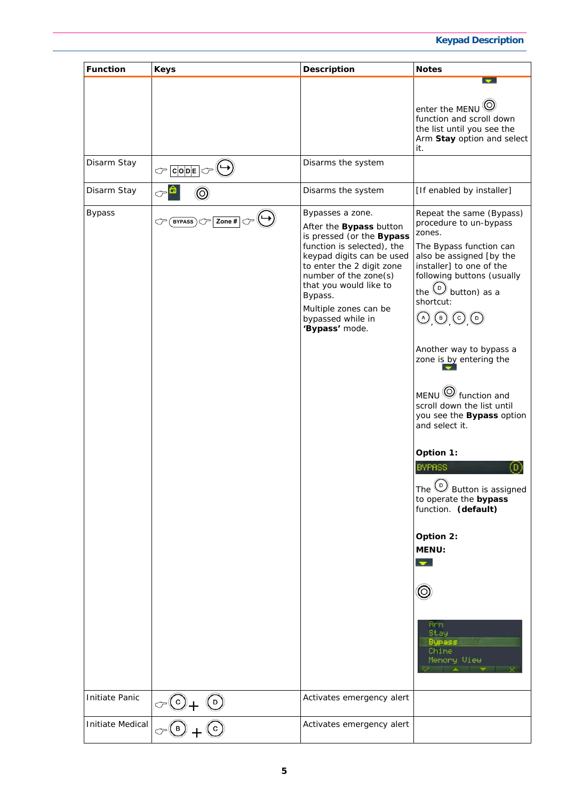#### **Keypad Description**

| <b>Function</b>  | <b>Keys</b>                                                                       | <b>Description</b>                                                                                                                                                                                                                                                                             | <b>Notes</b>                                                                                                                                                                                                                                                                                                                                                                                                                                                                                                                                                                                                                                                                  |
|------------------|-----------------------------------------------------------------------------------|------------------------------------------------------------------------------------------------------------------------------------------------------------------------------------------------------------------------------------------------------------------------------------------------|-------------------------------------------------------------------------------------------------------------------------------------------------------------------------------------------------------------------------------------------------------------------------------------------------------------------------------------------------------------------------------------------------------------------------------------------------------------------------------------------------------------------------------------------------------------------------------------------------------------------------------------------------------------------------------|
|                  |                                                                                   |                                                                                                                                                                                                                                                                                                | enter the MENU<br>function and scroll down<br>the list until you see the<br>Arm Stay option and select<br>it.                                                                                                                                                                                                                                                                                                                                                                                                                                                                                                                                                                 |
| Disarm Stay      | $\mathbb{C}^{\mathsf{c}}$ code $\mathbb{C}^{\mathsf{d}}$                          | Disarms the system                                                                                                                                                                                                                                                                             |                                                                                                                                                                                                                                                                                                                                                                                                                                                                                                                                                                                                                                                                               |
| Disarm Stay      | ℺                                                                                 | Disarms the system                                                                                                                                                                                                                                                                             | [If enabled by installer]                                                                                                                                                                                                                                                                                                                                                                                                                                                                                                                                                                                                                                                     |
| <b>Bypass</b>    | Zone $#$<br>$\mathsf{EYPASS}\setminus \mathbb{C}$                                 | Bypasses a zone.<br>After the Bypass button<br>is pressed (or the Bypass<br>function is selected), the<br>keypad digits can be used<br>to enter the 2 digit zone<br>number of the zone(s)<br>that you would like to<br>Bypass.<br>Multiple zones can be<br>bypassed while in<br>'Bypass' mode. | Repeat the same (Bypass)<br>procedure to un-bypass<br>zones.<br>The Bypass function can<br>also be assigned [by the<br>installer] to one of the<br>following buttons (usually<br>the $\bigcirc$ button) as a<br>shortcut:<br>$\odot$ $\odot$ $\odot$ $\odot$<br>Another way to bypass a<br>zone is by entering the<br>$MENU$ $\odot$ function and<br>scroll down the list until<br>you see the Bypass option<br>and select it.<br>Option 1:<br><b>BYPASS</b><br>The $\textcircled{D}$ Button is assigned<br>to operate the bypass<br>function. (default)<br>Option 2:<br><b>MENU:</b><br>$\bullet$<br>$\circledcirc$<br>Arn.<br>Stay<br><b>Bypass</b><br>Chine<br>Memory View |
| Initiate Panic   |                                                                                   | Activates emergency alert                                                                                                                                                                                                                                                                      |                                                                                                                                                                                                                                                                                                                                                                                                                                                                                                                                                                                                                                                                               |
| Initiate Medical | $\frac{\circ}{\circ \textcircled{\scriptsize{0}} + \textcircled{\scriptsize{0}}}$ | Activates emergency alert                                                                                                                                                                                                                                                                      |                                                                                                                                                                                                                                                                                                                                                                                                                                                                                                                                                                                                                                                                               |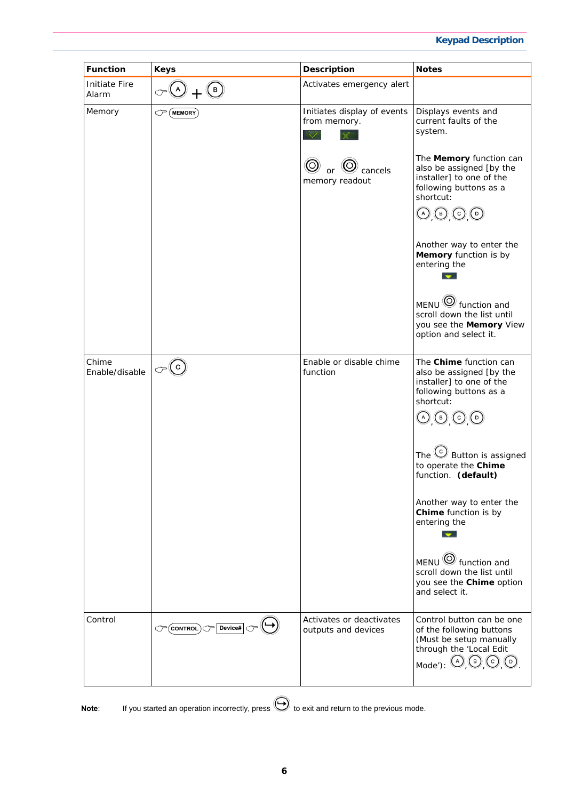#### **Keypad Description**

| <b>Function</b>               | <b>Keys</b>                 | <b>Description</b>                                           | <b>Notes</b>                                                                                                                                                                                                              |
|-------------------------------|-----------------------------|--------------------------------------------------------------|---------------------------------------------------------------------------------------------------------------------------------------------------------------------------------------------------------------------------|
| <b>Initiate Fire</b><br>Alarm | $\circ \circ$ + $\circ$     | Activates emergency alert                                    |                                                                                                                                                                                                                           |
| Memory                        | $\mathcal{C}$ (MEMORY)      | Initiates display of events<br>from memory.<br>$\sim$ / $\,$ | Displays events and<br>current faults of the<br>system.                                                                                                                                                                   |
|                               |                             | $\circledcirc$ or $\circledcirc$ cancels<br>memory readout   | The Memory function can<br>also be assigned [by the<br>installer] to one of the<br>following buttons as a<br>shortcut:<br>$\odot$ $\odot$ $\odot$ $\odot$                                                                 |
|                               |                             |                                                              | Another way to enter the<br>Memory function is by<br>entering the<br>$\mathbf{r}$                                                                                                                                         |
|                               |                             |                                                              | $MENU \overset{\textcircled{\bigcirc}}{\bigcirc}$ function and<br>scroll down the list until<br>you see the Memory View<br>option and select it.                                                                          |
| Chime<br>Enable/disable       | $\mathcal{O}(\mathfrak{c})$ | Enable or disable chime<br>function                          | The Chime function can<br>also be assigned [by the<br>installer] to one of the<br>following buttons as a<br>shortcut:<br>$\textcircled{\scriptsize{0}}$ , $\textcircled{\scriptsize{1}}$ , $\textcircled{\scriptsize{1}}$ |
|                               |                             |                                                              | The $\mathbb{C}$ Button is assigned<br>to operate the Chime<br>function. (default)                                                                                                                                        |
|                               |                             |                                                              | Another way to enter the<br>Chime function is by<br>entering the<br>$\bullet$                                                                                                                                             |
|                               |                             |                                                              | $MENU \overset{\textcircled{\bigcirc}}{\bigcirc}$ function and<br>scroll down the list until<br>you see the Chime option<br>and select it.                                                                                |
| Control                       | CONTROL Device#             | Activates or deactivates<br>outputs and devices              | Control button can be one<br>of the following buttons<br>(Must be setup manually<br>through the 'Local Edit<br>$_{\mathsf{Mode}'}: \odot \odot \odot \odot$                                                               |

**Note:** If you started an operation incorrectly, press  $\bigoplus$  to exit and return to the previous mode.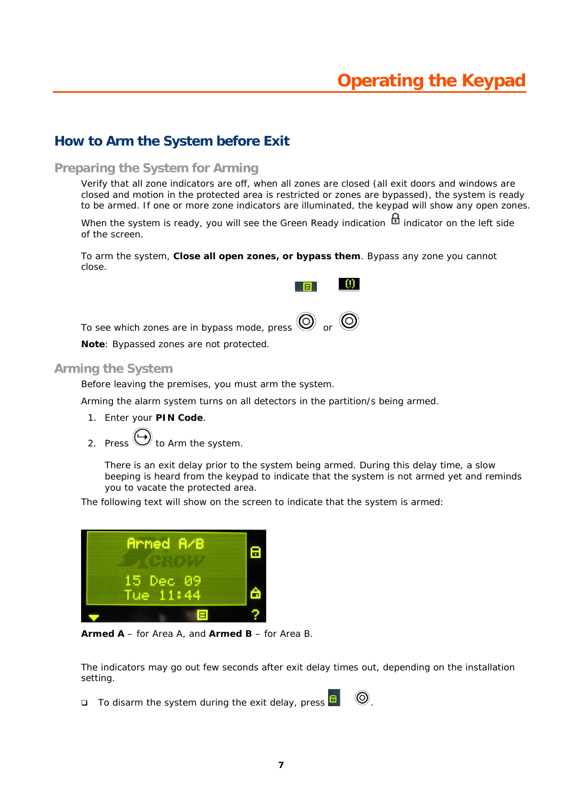## **How to Arm the System before Exit**

#### **Preparing the System for Arming**

Verify that all zone indicators are off, when all zones are closed (all exit doors and windows are closed and motion in the protected area is restricted or zones are bypassed), the system is ready to be armed. If one or more zone indicators are illuminated, the keypad will show any open zones.

E

- 00 -

When the system is ready, you will see the Green Ready indication  $\mathbf{\dot{m}}$  indicator on the left side of the screen.

To arm the system, **Close all open zones, or bypass them**. Bypass any zone you cannot close.

To see which zones are in bypass mode, press  $\bigcircled{O}$  or  $\bigcircled{O}$ 

**Note**: Bypassed zones are not protected.

#### **Arming the System**

Before leaving the premises, you must arm the system.

Arming the alarm system turns on all detectors in the partition/s being armed.

- 1. Enter your **PIN Code**.
- 2. Press  $\bigoplus$  to Arm the system.

There is an exit delay prior to the system being armed. During this delay time, a slow beeping is heard from the keypad to indicate that the system is not armed yet and reminds you to vacate the protected area.

The following text will show on the screen to indicate that the system is armed:



**Armed A** – for Area A, and **Armed B** – for Area B.

The indicators may go out few seconds after exit delay times out, depending on the installation setting.

 $\Box$  To disarm the system during the exit delay, press  $\Box$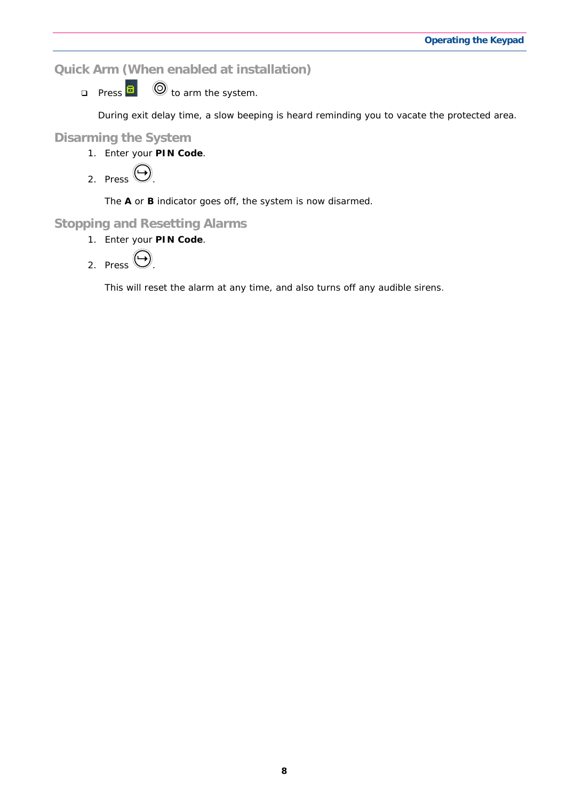**Quick Arm (When enabled at installation)** 

**Press**  $\overline{B}$   $\overline{\odot}$  to arm the system.

During exit delay time, a slow beeping is heard reminding you to vacate the protected area.

#### **Disarming the System**

1. Enter your **PIN Code**.

2. Press 
$$
\bigoplus
$$

The **A** or **B** indicator goes off, the system is now disarmed.

#### **Stopping and Resetting Alarms**

1. Enter your **PIN Code**.

2. Press 
$$
\bigodot
$$

This will reset the alarm at any time, and also turns off any audible sirens.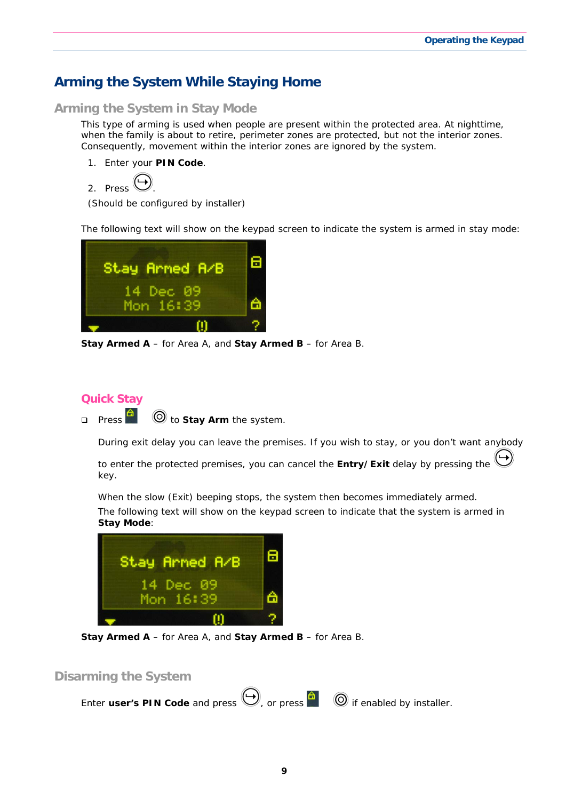## **Arming the System While Staying Home**

#### **Arming the System in Stay Mode**

This type of arming is used when people are present within the protected area. At nighttime, when the family is about to retire, perimeter zones are protected, but not the interior zones. Consequently, movement within the interior zones are ignored by the system.

1. Enter your **PIN Code**.

```
2. Press .
```
(Should be configured by installer)

The following text will show on the keypad screen to indicate the system is armed in stay mode:



**Stay Armed A** – for Area A, and **Stay Armed B** – for Area B.

#### **Quick Stay**

**D** Press **the Stay Arm** the system.

During exit delay you can leave the premises. If you wish to stay, or you don't want anybody

to enter the protected premises, you can cancel the **Entry/Exit** delay by pressing the key.

When the slow (Exit) beeping stops, the system then becomes immediately armed.

The following text will show on the keypad screen to indicate that the system is armed in **Stay Mode**:



**Stay Armed A** – for Area A, and **Stay Armed B** – for Area B.

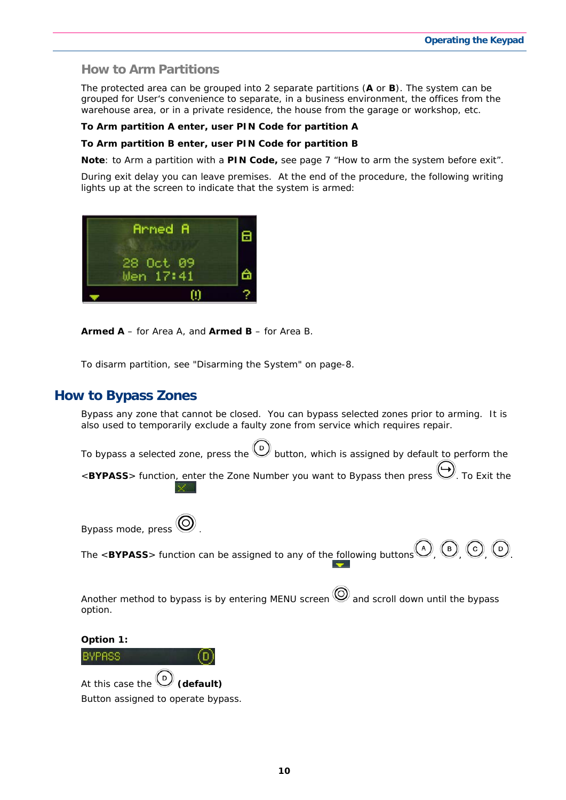#### **How to Arm Partitions**

The protected area can be grouped into 2 separate partitions (**A** or **B**). The system can be grouped for User's convenience to separate, in a business environment, the offices from the warehouse area, or in a private residence, the house from the garage or workshop, etc.

#### **To Arm partition A enter, user PIN Code for partition A**

#### **To Arm partition B enter, user PIN Code for partition B**

**Note**: to Arm a partition with a **PIN Code,** see page 7 "How to arm the system before exit".

During exit delay you can leave premises. At the end of the procedure, the following writing lights up at the screen to indicate that the system is armed:



**Armed A** – for Area A, and **Armed B** – for Area B.

To disarm partition, see "Disarming the System" on page-8.

#### **How to Bypass Zones**

Bypass any zone that cannot be closed. You can bypass selected zones prior to arming. It is also used to temporarily exclude a faulty zone from service which requires repair.

To bypass a selected zone, press the  $\bigcirc$  button, which is assigned by default to perform the <**BYPASS**> function, enter the Zone Number you want to Bypass then press  $\heartsuit$ . To Exit the

Bypass mode, press .

The  $\leq$ **BYPASS**> function can be assigned to any of the following buttons  $\bigcirc$   $\bigcirc$   $\bigcirc$   $\bigcirc$   $\bigcirc$ 

Another method to bypass is by entering MENU screen  $\bigcirc$  and scroll down until the bypass option.

**Option 1:** 

BYPASS At this case the **(default)**

Button assigned to operate bypass.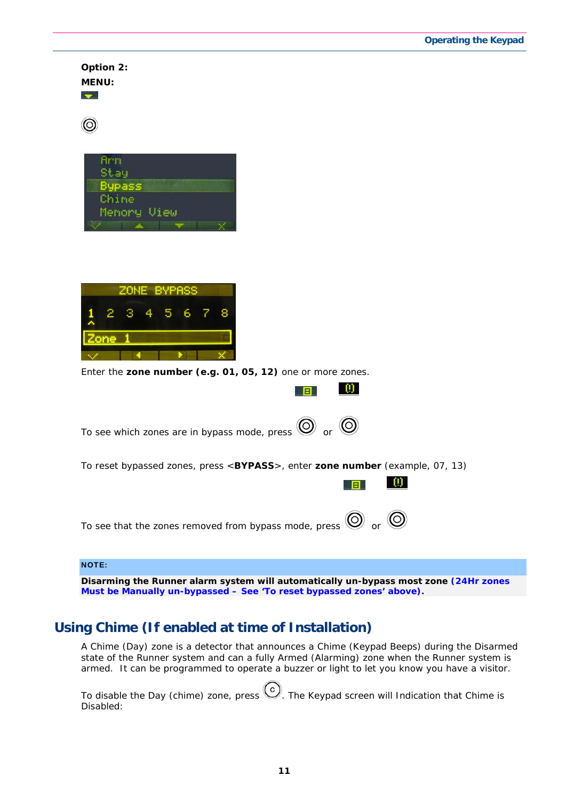| Option 2:<br><b>MENU:</b><br>$\overline{\phantom{a}}$                                                                                           |
|-------------------------------------------------------------------------------------------------------------------------------------------------|
|                                                                                                                                                 |
| <b>Arn</b><br>Stay<br>Bypass<br>Chime<br>Memory View                                                                                            |
| <b>ZONE BYPASS</b><br>8<br>6<br>7<br>2<br>з<br>5<br>Zone<br>Enter the zone number (e.g. 01, 05, 12) one or more zones.                          |
| $\vert 0 \rangle$<br>日                                                                                                                          |
| To see which zones are in bypass mode, press $\bigcirc \hspace{-3.5mm} \circ$ or $\bigcirc \hspace{-3.5mm} \circ$                               |
| To reset bypassed zones, press <bypass>, enter zone number (example, 07, 13)<br/><math>\omega</math></bypass>                                   |
| To see that the zones removed from bypass mode, press $\bigcirc \hspace{-3.5mm} \circ \hspace{3.5mm} \circ$ or $\bigcirc \hspace{-3.5mm} \circ$ |
| <b>NOTE:</b>                                                                                                                                    |

**Disarming the Runner alarm system will automatically un-bypass most zone (24Hr zones Must be Manually un-bypassed – See 'To reset bypassed zones' above).**

## **Using Chime (If enabled at time of Installation)**

A Chime (Day) zone is a detector that announces a Chime (Keypad Beeps) during the Disarmed state of the Runner system and can a fully Armed (Alarming) zone when the Runner system is armed. It can be programmed to operate a buzzer or light to let you know you have a visitor.

To disable the Day (chime) zone, press  $\bigodot$ . The Keypad screen will Indication that Chime is Disabled: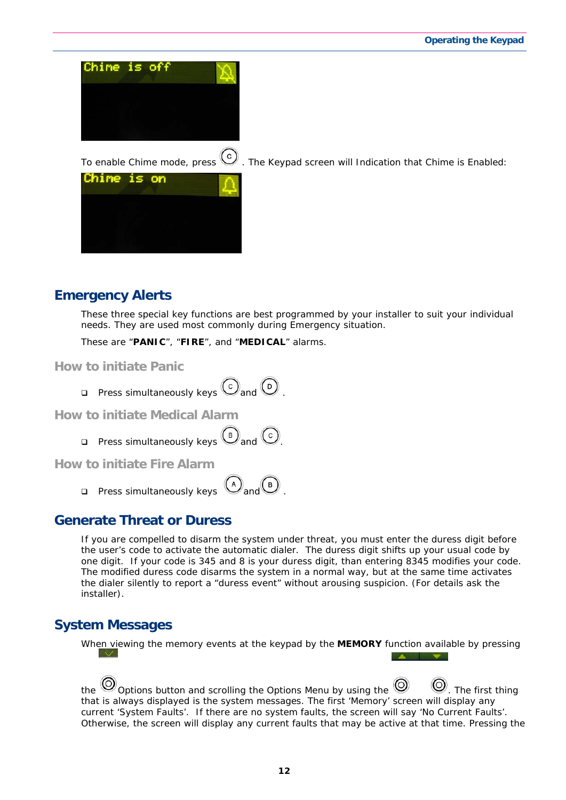



## **Emergency Alerts**

These three special key functions are best programmed by your installer to suit your individual needs. They are used most commonly during Emergency situation.

These are "**PANIC**", "**FIRE**", and "**MEDICAL**" alarms.

**How to initiate Panic** 

**Press simultaneously keys**  $\bigodot$  **and**  $\bigodot$ 

**How to initiate Medical Alarm** 

**Press simultaneously keys**  $\bigcirc$  and  $\bigcirc$ 

**How to initiate Fire Alarm** 

**Press simultaneously keys**  $\bigcirc$  and  $\bigcirc$ 

### **Generate Threat or Duress**

If you are compelled to disarm the system under threat, you must enter the duress digit before the user's code to activate the automatic dialer. The duress digit shifts up your usual code by one digit. If your code is 345 and 8 is your duress digit, than entering 8345 modifies your code. The modified duress code disarms the system in a normal way, but at the same time activates the dialer silently to report a "duress event" without arousing suspicion. (For details ask the installer).

### **System Messages**

When viewing the memory events at the keypad by the **MEMORY** function available by pressing

**START COMPANY** 

the  $\odot$  Options button and scrolling the Options Menu by using the  $\odot$   $\odot$ . The first thing that is always displayed is the system messages. The first 'Memory' screen will display any current 'System Faults'. If there are no system faults, the screen will say 'No Current Faults'. Otherwise, the screen will display any current faults that may be active at that time. Pressing the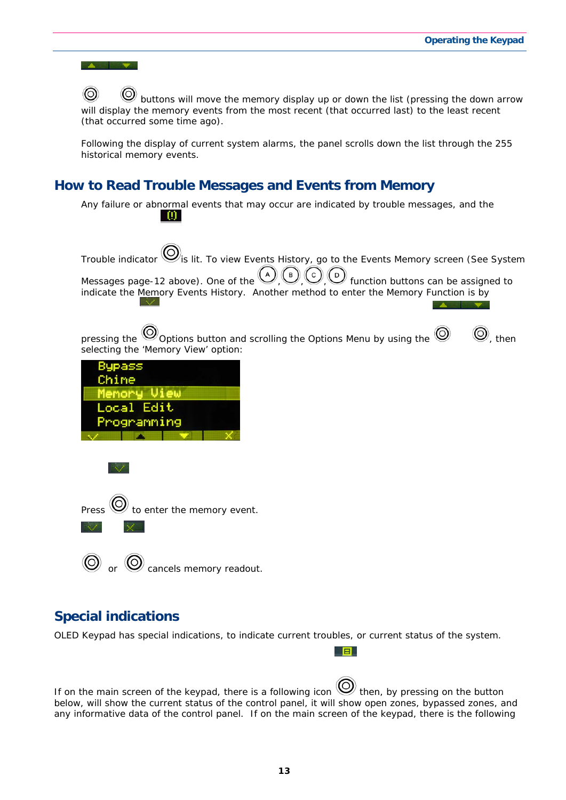

## **Special indications**

OLED Keypad has special indications, to indicate current troubles, or current status of the system.

If on the main screen of the keypad, there is a following icon  $\bigotimes$  then, by pressing on the button below, will show the current status of the control panel, it will show open zones, bypassed zones, and any informative data of the control panel. If on the main screen of the keypad, there is the following

日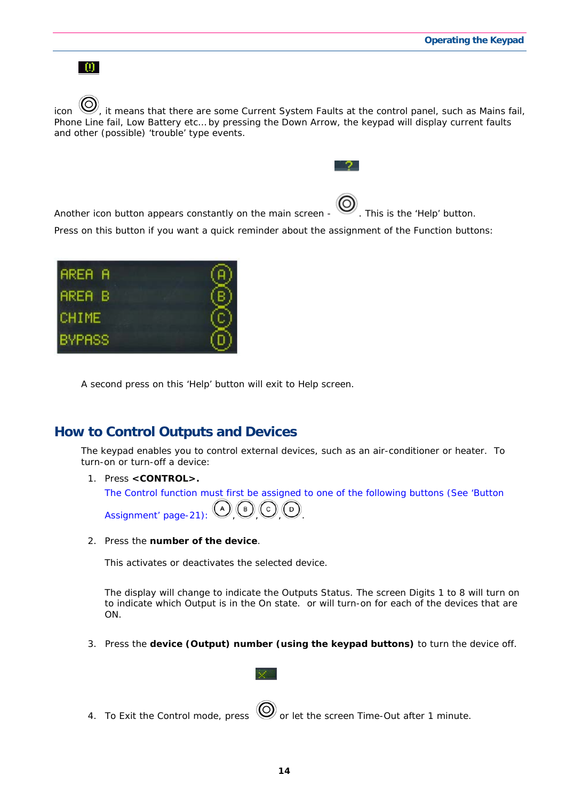



A second press on this 'Help' button will exit to Help screen.

### **How to Control Outputs and Devices**

The keypad enables you to control external devices, such as an air-conditioner or heater. To turn-on or turn-off a device:

1. Press **<CONTROL>.** 

The Control function must first be assigned to one of the following buttons (See 'Button Assignment' page-21):  $(A)$  (B)  $(C)$  (D)

2. Press the **number of the device**.

This activates or deactivates the selected device.

The display will change to indicate the Outputs Status. The screen Digits 1 to 8 will turn on to indicate which Output is in the On state. or will turn-on for each of the devices that are ON.

- 3. Press the **device (Output) number (using the keypad buttons)** to turn the device off.
- 4. To Exit the Control mode, press  $\bigcirc$  or let the screen Time-Out after 1 minute.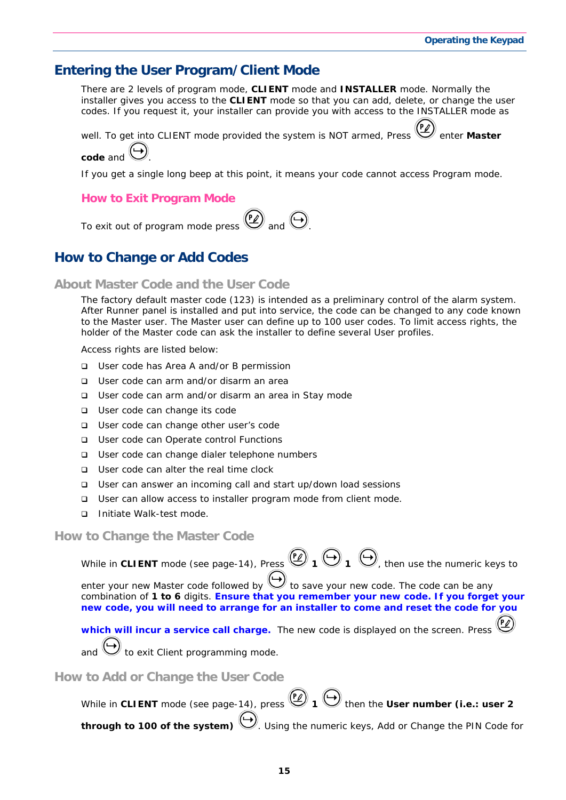#### **Entering the User Program/Client Mode**

There are 2 levels of program mode, **CLIENT** mode and **INSTALLER** mode. Normally the installer gives you access to the **CLIENT** mode so that you can add, delete, or change the user codes. If you request it, your installer can provide you with access to the INSTALLER mode as

well. To get into CLIENT mode provided the system is NOT armed, Press **enter Master** 

**code** and .

If you get a single long beep at this point, it means your code cannot access Program mode.

#### **How to Exit Program Mode**

To exit out of program mode press  $\bigcirc$  and  $\bigcirc$ 

### **How to Change or Add Codes**

#### **About Master Code and the User Code**

The factory default master code (123) is intended as a preliminary control of the alarm system. After Runner panel is installed and put into service, the code can be changed to any code known to the Master user. The Master user can define up to 100 user codes. To limit access rights, the holder of the Master code can ask the installer to define several User profiles.

Access rights are listed below:

- □ User code has Area A and/or B permission
- □ User code can arm and/or disarm an area
- □ User code can arm and/or disarm an area in Stay mode
- □ User code can change its code
- □ User code can change other user's code
- □ User code can Operate control Functions
- □ User code can change dialer telephone numbers
- □ User code can alter the real time clock
- User can answer an incoming call and start up/down load sessions
- □ User can allow access to installer program mode from client mode.
- □ Initiate Walk-test mode.

#### **How to Change the Master Code**

While in CLIENT mode (see page-14), Press  $\bigcircled{2}$  1  $\bigcircled{1}$   $\bigcirc$ , then use the numeric keys to

enter your new Master code followed by  $\bigcup$  to save your new code. The code can be any combination of **1 to 6** digits. **Ensure that you remember your new code. If you forget your new code, you will need to arrange for an installer to come and reset the code for you** 

**which will incur a service call charge.** The new code is displayed on the screen. Press and  $\bigcup$  to exit Client programming mode.

**How to Add or Change the User Code** 

| While in CLIENT mode (see page-14), press $\bigcirc$ 1 $\bigcirc$ then the User number (i.e.: user 2 |
|------------------------------------------------------------------------------------------------------|
| through to 100 of the system) W. Using the numeric keys, Add or Change the PIN Code for              |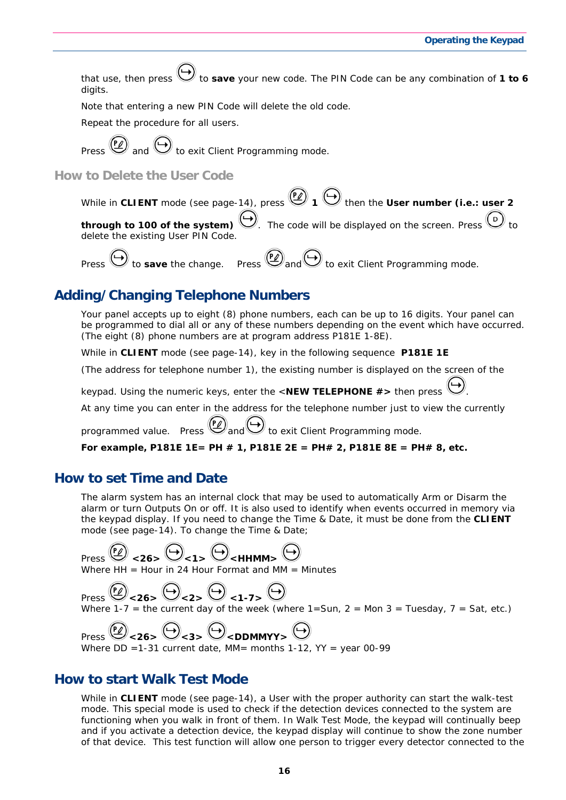that use, then press  $\bigcup$  to **save** your new code. The PIN Code can be any combination of **1 to 6** digits.

Note that entering a new PIN Code will delete the old code.

Repeat the procedure for all users.

Press  $\left(\frac{P}{P}\right)$  and  $\left(\frac{P}{P}\right)$  to exit Client Programming mode.

**How to Delete the User Code** 

While in CLIENT mode (see page-14), press  $\bigcirc$  1  $\bigcirc$  then the User number (i.e.: user 2 **through to 100 of the system)**  $\vee$ . The code will be displayed on the screen. Press delete the existing User PIN Code.

Press  $\bigoplus$  to **save** the change. Press  $\bigoplus$  and  $\bigoplus$  to exit Client Programming mode.

## **Adding/Changing Telephone Numbers**

Your panel accepts up to eight (8) phone numbers, each can be up to 16 digits. Your panel can be programmed to dial all or any of these numbers depending on the event which have occurred. *(The eight (8) phone numbers are at program address* P181E 1-8E*).* 

While in **CLIENT** mode (see page-14), key in the following sequence **P181E 1E** 

(The address for telephone number 1), the existing number is displayed on the screen of the

keypad. Using the numeric keys, enter the <**NEW TELEPHONE #>** then press .

At any time you can enter in the address for the telephone number just to view the currently

programmed value. Press  $(2)$  and  $\bigcup$  to exit Client Programming mode.

**For example, P181E 1E= PH # 1, P181E 2E = PH# 2, P181E 8E = PH# 8, etc.** 

### **How to set Time and Date**

The alarm system has an internal clock that may be used to automatically Arm or Disarm the alarm or turn Outputs On or off. It is also used to identify when events occurred in memory via the keypad display. If you need to change the Time & Date, it must be done from the **CLIENT** mode (see page-14). To change the Time & Date;

 $\text{Press} \overset{\text{(P)}}{\rightarrow} \text{26} > \bigoplus_{< 1} \bigoplus_{< HHMM>} \bigoplus_{< HHMM}$ 

Where  $HH = H$ our in 24 Hour Format and MM = Minutes

 $\text{Press} \rightarrow \text{P26} > \bigoplus_{24} \bigoplus_{24} \bigoplus_{14} \bigoplus_{14} \bigoplus$ Where 1-7 = the current day of the week (where  $1=$  Sun,  $2=$  Mon  $3=$  Tuesday,  $7=$  Sat, etc.)

Press  $\overset{(P)}{\triangle}$  <26>  $\overset{(P)}{\triangle}$  <3>  $\overset{(P)}{\triangle}$  <DDMMYY>  $\overset{(P)}{\triangle}$ Where  $DD = 1-31$  current date, MM= months  $1-12$ , YY = year 00-99

#### **How to start Walk Test Mode**

While in **CLIENT** mode (see page-14), a User with the proper authority can start the walk-test mode. This special mode is used to check if the detection devices connected to the system are functioning when you walk in front of them. In Walk Test Mode, the keypad will continually beep and if you activate a detection device, the keypad display will continue to show the zone number of that device. This test function will allow one person to trigger every detector connected to the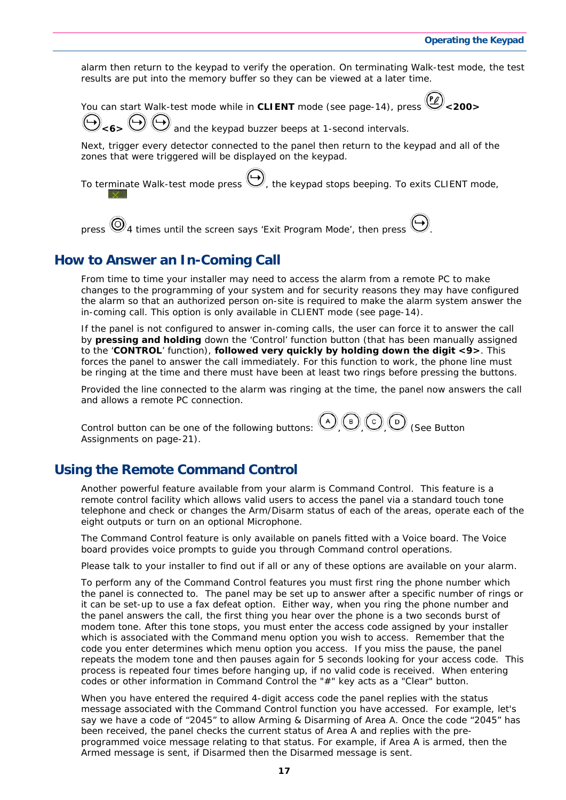alarm then return to the keypad to verify the operation. On terminating Walk-test mode, the test results are put into the memory buffer so they can be viewed at a later time.

You can start Walk-test mode while in CLIENT mode (see page-14), press

and the keypad buzzer beeps at 1-second intervals.

Next, trigger every detector connected to the panel then return to the keypad and all of the zones that were triggered will be displayed on the keypad.

To terminate Walk-test mode press  $\bigcup_{k=1}^{\infty}$  the keypad stops beeping. To exits CLIENT mode,

press  $\bigcircled{9}_4$  times until the screen says 'Exit Program Mode', then press  $\bigcircled{9}_4$ 

#### **How to Answer an In-Coming Call**

From time to time your installer may need to access the alarm from a remote PC to make changes to the programming of your system and for security reasons they may have configured the alarm so that an authorized person on-site is required to make the alarm system answer the in-coming call. This option is only available in CLIENT mode (see page-14).

If the panel is not configured to answer in-coming calls, the user can force it to answer the call by **pressing and holding** down the 'Control' function button (that has been manually assigned to the '**CONTROL**' function), **followed very quickly by holding down the digit <9>**. This forces the panel to answer the call immediately. For this function to work, the phone line must be ringing at the time and there must have been at least two rings before pressing the buttons.

Provided the line connected to the alarm was ringing at the time, the panel now answers the call and allows a remote PC connection.

Control button can be one of the following buttons:  $\bigcirc$  ,  $\bigcirc$   $\bigcirc$   $\bigcirc$   $\bigcirc$  (See Button Assignments on page-21).

### **Using the Remote Command Control**

Another powerful feature available from your alarm is Command Control. This feature is a remote control facility which allows valid users to access the panel via a standard touch tone telephone and check or changes the Arm/Disarm status of each of the areas, operate each of the eight outputs or turn on an optional Microphone.

The Command Control feature is only available on panels fitted with a Voice board. The Voice board provides voice prompts to guide you through Command control operations.

Please talk to your installer to find out if all or any of these options are available on your alarm.

To perform any of the Command Control features you must first ring the phone number which the panel is connected to. The panel may be set up to answer after a specific number of rings or it can be set-up to use a fax defeat option. Either way, when you ring the phone number and the panel answers the call, the first thing you hear over the phone is a two seconds burst of modem tone. After this tone stops, you must enter the access code assigned by your installer which is associated with the Command menu option you wish to access. *Remember that the code you enter determines which menu option you access*. If you miss the pause, the panel repeats the modem tone and then pauses again for 5 seconds looking for your access code. This process is repeated four times before hanging up, if no valid code is received. When entering codes or other information in Command Control the "#" key acts as a "*Clear*" button.

When you have entered the required 4-digit access code the panel replies with the status message associated with the Command Control function you have accessed. For example, let's say we have a code of "2045" to allow Arming & Disarming of Area A. Once the code "2045" has been received, the panel checks the current status of Area A and replies with the preprogrammed voice message relating to that status. For example, if Area A is armed, then the Armed message is sent, if Disarmed then the Disarmed message is sent.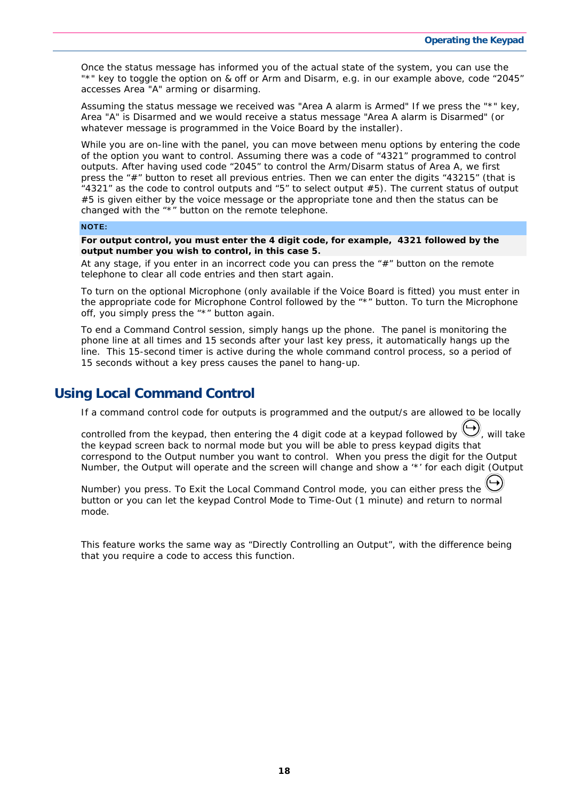Once the status message has informed you of the actual state of the system, you can use the "\*" key to toggle the option on & off or Arm and Disarm, e.g. in our example above, code "2045" accesses Area "A" arming or disarming.

Assuming the status message we received was "*Area A alarm is Armed" If* we press the "\*" key, Area "A" is Disarmed and we would receive a status message "*Area A alarm is Disarmed" (or whatever message is programmed in the Voice Board by the installer).*

While you are on-line with the panel, you can move between menu options by entering the code of the option you want to control. Assuming there was a code of "4321" programmed to control outputs. After having used code "2045" to control the Arm/Disarm status of Area A, we first press the "#" button to reset all previous entries. Then we can enter the digits "43215" (that is "4321" as the code to control outputs and "5" to select output #5). The current status of output #5 is given either by the voice message or the appropriate tone and then the status can be changed with the "\*" button on the remote telephone.

#### NOTE:

**For output control, you must enter the 4 digit code, for example, 4321 followed by the output number you wish to control, in this case 5.** 

At any stage, if you enter in an incorrect code you can press the  $H$ " button on the remote telephone to clear all code entries and then start again.

To turn on the optional Microphone (only available if the Voice Board is fitted) you must enter in the appropriate code for Microphone Control followed by the "\*" button. To turn the Microphone off, you simply press the "\*" button again.

To end a Command Control session, simply hangs up the phone. The panel is monitoring the phone line at all times and 15 seconds after your last key press, it automatically hangs up the line. This 15-second timer is active during the whole command control process, so a period of 15 seconds without a key press causes the panel to hang-up.

#### **Using Local Command Control**

If a command control code for outputs is programmed and the output/s are allowed to be locally

controlled from the keypad, then entering the 4 digit code at a keypad followed by  $\bigvee$ , will take the keypad screen back to normal mode but you will be able to press keypad digits that correspond to the Output number you want to control. When you press the digit for the Output Number, the Output will operate and the screen will change and show a '\*' for each digit (Output

Number) you press. To Exit the Local Command Control mode, you can either press the button or you can let the keypad Control Mode to Time-Out (1 minute) and return to normal mode.

This feature works the same way as "Directly Controlling an Output", with the difference being that you require a code to access this function.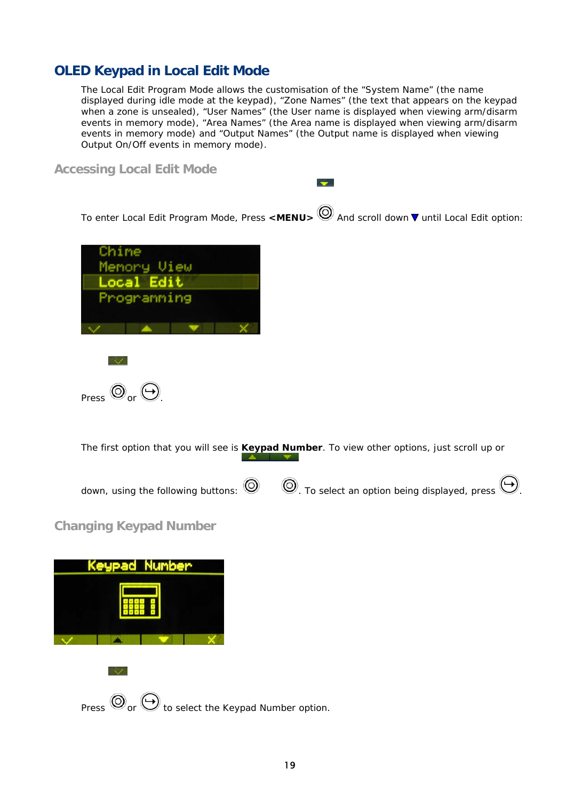## **OLED Keypad in Local Edit Mode**

The Local Edit Program Mode allows the customisation of the "System Name" (the name displayed during idle mode at the keypad), "Zone Names" (the text that appears on the keypad when a zone is unsealed), "User Names" (the User name is displayed when viewing arm/disarm events in memory mode), "Area Names" (the Area name is displayed when viewing arm/disarm events in memory mode) and "Output Names" (the Output name is displayed when viewing Output On/Off events in memory mode).

**Accessing Local Edit Mode** 

To enter Local Edit Program Mode, Press <MENU>
<br>
Moder and scroll down ▼ until Local Edit option:

 $\rightarrow$ 





 $\sim$   $\sim$ 

The first option that you will see is **Keypad Number**. To view other options, just scroll up or



### **Changing Keypad Number**

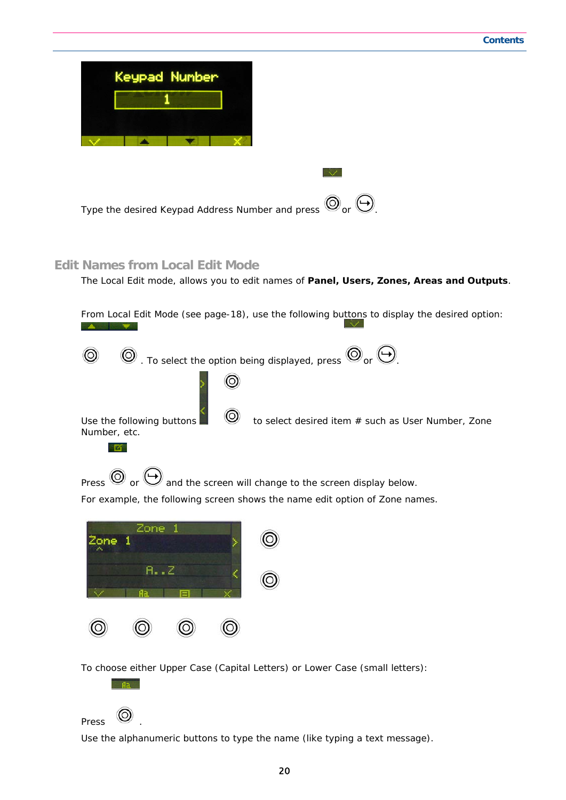| Keypad Number                                                                                    |  |  |
|--------------------------------------------------------------------------------------------------|--|--|
|                                                                                                  |  |  |
|                                                                                                  |  |  |
|                                                                                                  |  |  |
| Type the desired Keypad Address Number and press $\bigcircledcirc_{\text{or}} \bigcircledcirc$ . |  |  |

#### **Edit Names from Local Edit Mode**

The Local Edit mode, allows you to edit names of **Panel, Users, Zones, Areas and Outputs**.

|                                           | From Local Edit Mode (see page-18), use the following buttons to display the desired option:            |
|-------------------------------------------|---------------------------------------------------------------------------------------------------------|
| $^{\circ}$                                | . To select the option being displayed, press $\bigcirc \hspace{-3.5mm} \circ \bigcirc$ or $\bigcirc$ . |
|                                           |                                                                                                         |
| Use the following buttons<br>Number, etc. | to select desired item # such as User Number, Zone                                                      |



For example, the following screen shows the name edit option of Zone names.

| Zone 1 | Zone |   |  |
|--------|------|---|--|
|        | A.2  | ⊟ |  |
|        |      |   |  |

To choose either Upper Case (Capital Letters) or Lower Case (small letters):

## Press<sup>**I**O</sup>

fla.

Use the alphanumeric buttons to type the name (like typing a text message).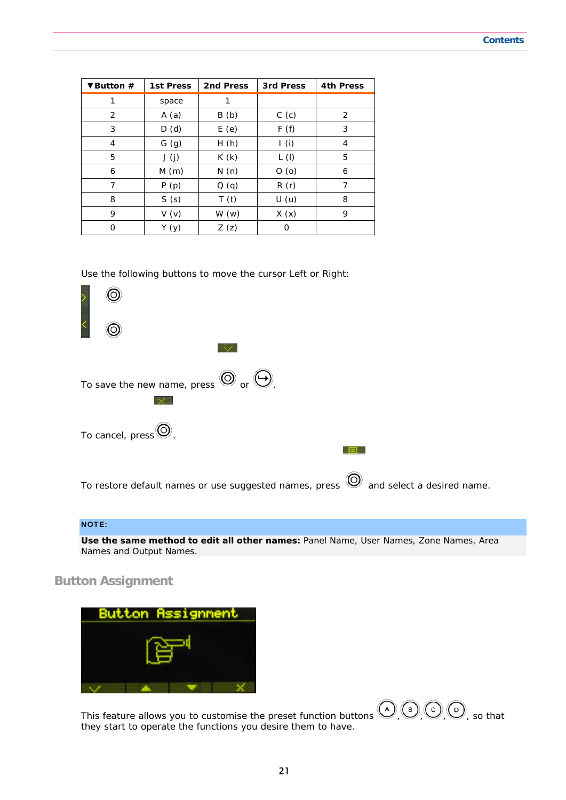| ▼Button $#$ | 1st Press | 2nd Press | 3rd Press | <b>4th Press</b> |
|-------------|-----------|-----------|-----------|------------------|
| 1           | space     |           |           |                  |
| 2           | A(a)      | B(b)      | C(c)      | 2                |
| 3           | D(d)      | E(e)      | F(f)      | 3                |
| 4           | G(g)      | H(h)      | I(i)      | 4                |
| 5           | J(j)      | K(k)      | L(1)      | 5                |
| 6           | M(m)      | N(n)      | O(0)      | 6                |
| 7           | P(p)      | Q(q)      | R(r)      | 7                |
| 8           | S(s)      | T(t)      | U(u)      | 8                |
| 9           | V(v)      | W(w)      | X(x)      | 9                |
| 0           | Y (y)     | Z(z)      | 0         |                  |

Use the following buttons to move the cursor Left or Right:



#### NOTE:

**Use the same method to edit all other names:** Panel Name, User Names, Zone Names, Area Names and Output Names.

**Button Assignment** 



This feature allows you to customise the preset function buttons  $\bigodot$  (B)  $\bigodot$  (O), so that they start to operate the functions you desire them to have.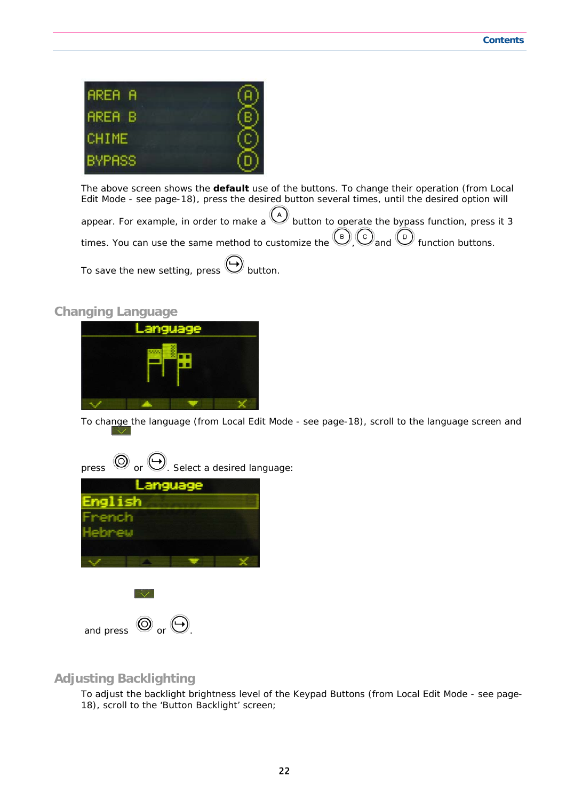

The above screen shows the **default** use of the buttons. To change their operation (from Local Edit Mode - see page-18), press the desired button several times, until the desired option will

appear. For example, in order to make a  $\bigcup_{k=1}^{\infty}$  button to operate the bypass function, press it 3 times. You can use the same method to customize the  $\bigcirc$ ,  $\bigcirc$  and  $\bigcirc$  function buttons. To save the new setting, press  $\bigoplus$  button.

#### **Changing Language**



To change the language (from Local Edit Mode - see page-18), scroll to the language screen and

press  $\circledcirc$  or  $\odot$ . Select a desired language:



#### **Adjusting Backlighting**

To adjust the backlight brightness level of the Keypad Buttons (from Local Edit Mode - see page-18), scroll to the 'Button Backlight' screen;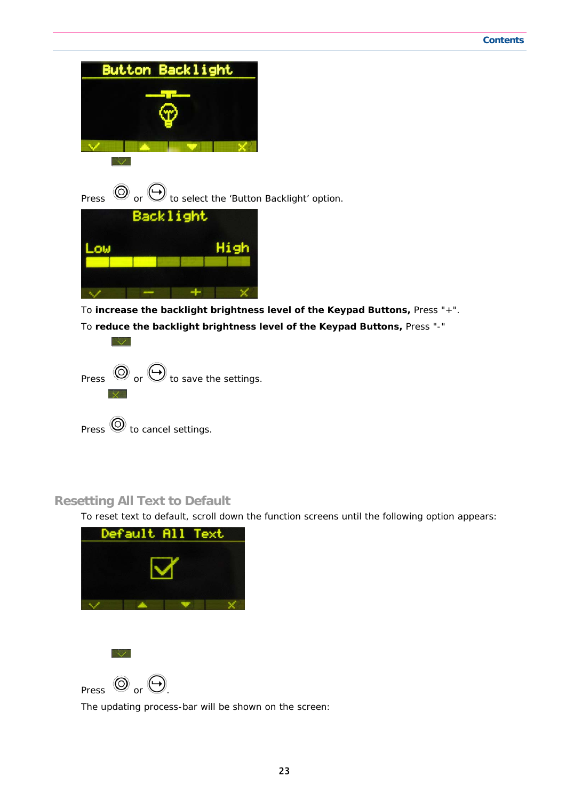Button Backlight

Press  $\circledcirc$  or  $\leftrightarrow$  to select the 'Button Backlight' option.



To **increase the backlight brightness level of the Keypad Buttons,** Press "+". To **reduce the backlight brightness level of the Keypad Buttons,** Press "-"



## **Resetting All Text to Default**

 $\sim$ 

To reset text to default, scroll down the function screens until the following option appears:





The updating process-bar will be shown on the screen: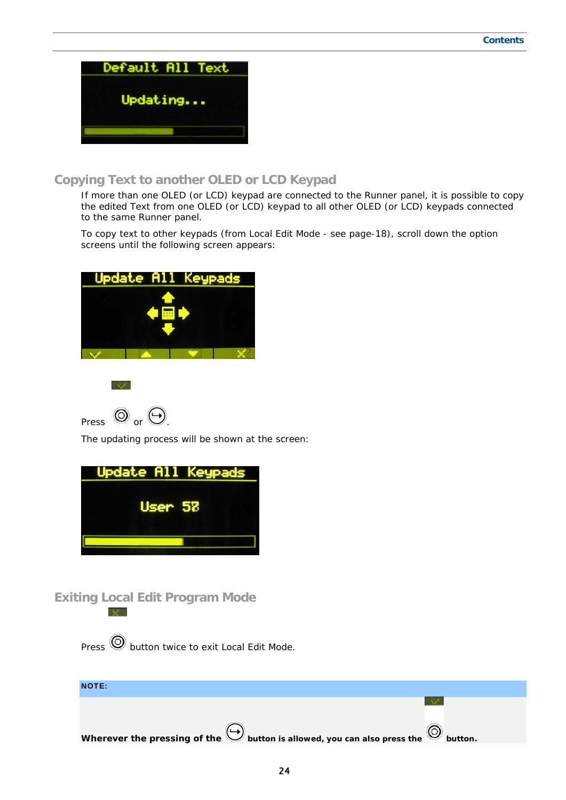

#### **Copying Text to another OLED or LCD Keypad**

If more than one OLED (or LCD) keypad are connected to the Runner panel, it is possible to copy the edited Text from one OLED (or LCD) keypad to all other OLED (or LCD) keypads connected to the same Runner panel.

To copy text to other keypads (from Local Edit Mode - see page-18), scroll down the option screens until the following screen appears:





Press  $\circledcirc$  or  $\odot$ 

The updating process will be shown at the screen:



**Exiting Local Edit Program Mode** 

 $Press$   $\odot$  button twice to exit Local Edit Mode.

| <b>NOTE:</b>                                                                          |         |
|---------------------------------------------------------------------------------------|---------|
|                                                                                       |         |
| Wherever the pressing of the button is allowed, you can also press the $\circledcirc$ | button. |